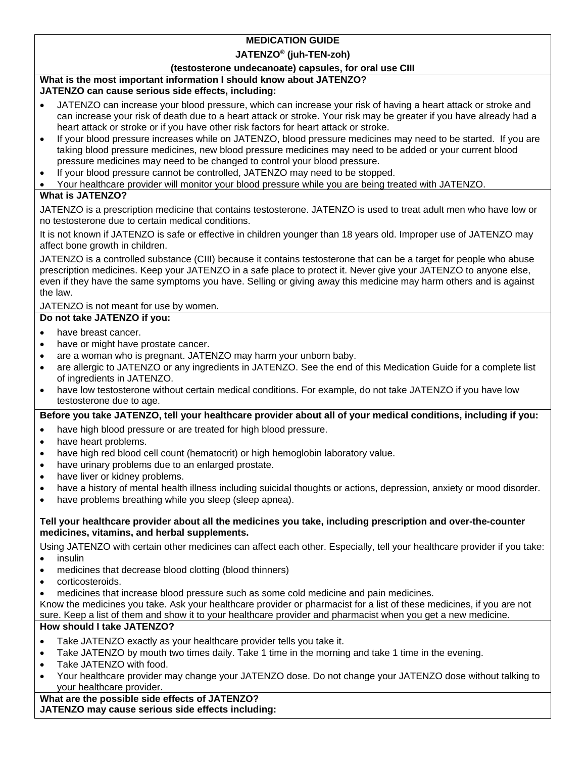## **MEDICATION GUIDE**

### **JATENZO® (juh-TEN-zoh)**

### **(testosterone undecanoate) capsules, for oral use CIII**

# **What is the most important information I should know about JATENZO?**

# **JATENZO can cause serious side effects, including:**

- JATENZO can increase your blood pressure, which can increase your risk of having a heart attack or stroke and can increase your risk of death due to a heart attack or stroke. Your risk may be greater if you have already had a heart attack or stroke or if you have other risk factors for heart attack or stroke.
- If your blood pressure increases while on JATENZO, blood pressure medicines may need to be started. If you are taking blood pressure medicines, new blood pressure medicines may need to be added or your current blood pressure medicines may need to be changed to control your blood pressure.
- If your blood pressure cannot be controlled, JATENZO may need to be stopped.
- Your healthcare provider will monitor your blood pressure while you are being treated with JATENZO.

# **What is JATENZO?**

JATENZO is a prescription medicine that contains testosterone. JATENZO is used to treat adult men who have low or no testosterone due to certain medical conditions.

It is not known if JATENZO is safe or effective in children younger than 18 years old. Improper use of JATENZO may affect bone growth in children.

JATENZO is a controlled substance (CIII) because it contains testosterone that can be a target for people who abuse prescription medicines. Keep your JATENZO in a safe place to protect it. Never give your JATENZO to anyone else, even if they have the same symptoms you have. Selling or giving away this medicine may harm others and is against the law.

## JATENZO is not meant for use by women.

- **Do not take JATENZO if you:**
- have breast cancer.
- have or might have prostate cancer.
- are a woman who is pregnant. JATENZO may harm your unborn baby.
- are allergic to JATENZO or any ingredients in JATENZO. See the end of this Medication Guide for a complete list of ingredients in JATENZO.
- have low testosterone without certain medical conditions. For example, do not take JATENZO if you have low testosterone due to age.

## **Before you take JATENZO, tell your healthcare provider about all of your medical conditions, including if you:**

- have high blood pressure or are treated for high blood pressure.
- have heart problems.
- have high red blood cell count (hematocrit) or high hemoglobin laboratory value.
- have urinary problems due to an enlarged prostate.
- have liver or kidney problems.
- have a history of mental health illness including suicidal thoughts or actions, depression, anxiety or mood disorder.
- have problems breathing while you sleep (sleep apnea).

### **Tell your healthcare provider about all the medicines you take, including prescription and over-the-counter medicines, vitamins, and herbal supplements.**

Using JATENZO with certain other medicines can affect each other. Especially, tell your healthcare provider if you take:

- insulin
- medicines that decrease blood clotting (blood thinners)
- corticosteroids.
- medicines that increase blood pressure such as some cold medicine and pain medicines.

Know the medicines you take. Ask your healthcare provider or pharmacist for a list of these medicines, if you are not sure. Keep a list of them and show it to your healthcare provider and pharmacist when you get a new medicine.

# **How should I take JATENZO?**

- Take JATENZO exactly as your healthcare provider tells you take it.
- Take JATENZO by mouth two times daily. Take 1 time in the morning and take 1 time in the evening.
- Take JATENZO with food.
- Your healthcare provider may change your JATENZO dose. Do not change your JATENZO dose without talking to your healthcare provider.

**What are the possible side effects of JATENZO? JATENZO may cause serious side effects including:**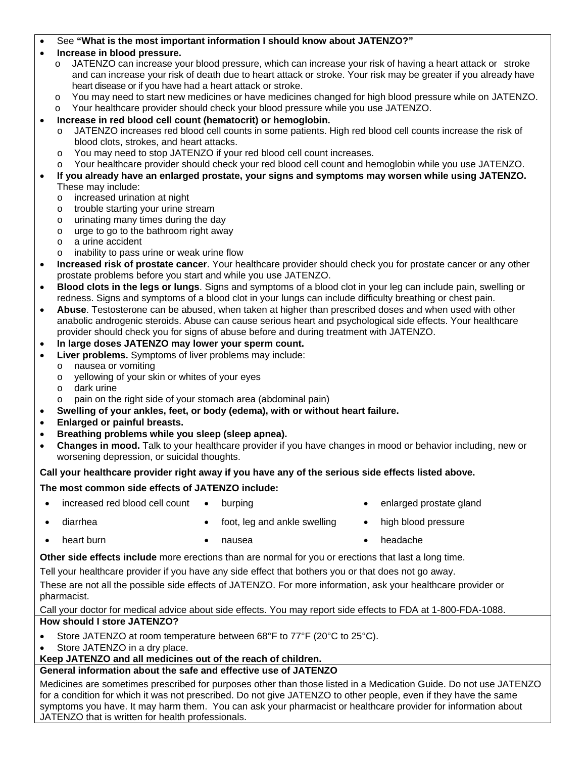#### See **"What is the most important information I should know about JATENZO?"**

#### **Increase in blood pressure.**

- o JATENZO can increase your blood pressure, which can increase your risk of having a heart attack or stroke and can increase your risk of death due to heart attack or stroke. Your risk may be greater if you already have heart disease or if you have had a heart attack or stroke.
- o You may need to start new medicines or have medicines changed for high blood pressure while on JATENZO.
- o Your healthcare provider should check your blood pressure while you use JATENZO.

### **Increase in red blood cell count (hematocrit) or hemoglobin.**

- o JATENZO increases red blood cell counts in some patients. High red blood cell counts increase the risk of blood clots, strokes, and heart attacks.
- o You may need to stop JATENZO if your red blood cell count increases.
- o Your healthcare provider should check your red blood cell count and hemoglobin while you use JATENZO.
- **If you already have an enlarged prostate, your signs and symptoms may worsen while using JATENZO.**  These may include:
	- o increased urination at night
	- o trouble starting your urine stream
	- o urinating many times during the day
	- o urge to go to the bathroom right away
	- o a urine accident
	- o inability to pass urine or weak urine flow
- **Increased risk of prostate cancer**. Your healthcare provider should check you for prostate cancer or any other prostate problems before you start and while you use JATENZO.
- **Blood clots in the legs or lungs**. Signs and symptoms of a blood clot in your leg can include pain, swelling or redness. Signs and symptoms of a blood clot in your lungs can include difficulty breathing or chest pain.
- **Abuse**. Testosterone can be abused, when taken at higher than prescribed doses and when used with other anabolic androgenic steroids. Abuse can cause serious heart and psychological side effects. Your healthcare provider should check you for signs of abuse before and during treatment with JATENZO.
- **In large doses JATENZO may lower your sperm count.**
- **Liver problems.** Symptoms of liver problems may include:
	- o nausea or vomiting
	- o yellowing of your skin or whites of your eyes
	- o dark urine
	- o pain on the right side of your stomach area (abdominal pain)
- **Swelling of your ankles, feet, or body (edema), with or without heart failure.**
- **Enlarged or painful breasts.**
- **Breathing problems while you sleep (sleep apnea).**
- **Changes in mood.** Talk to your healthcare provider if you have changes in mood or behavior including, new or worsening depression, or suicidal thoughts.

#### **Call your healthcare provider right away if you have any of the serious side effects listed above.**

#### **The most common side effects of JATENZO include:**

- increased red blood cell count burping enlarged prostate gland
- diarrhea **e** foot, leg and ankle swelling **e** high blood pressure
- 

- 
- heart burn nausea headache

**Other side effects include** more erections than are normal for you or erections that last a long time.

Tell your healthcare provider if you have any side effect that bothers you or that does not go away.

These are not all the possible side effects of JATENZO. For more information, ask your healthcare provider or pharmacist.

Call your doctor for medical advice about side effects. You may report side effects to FDA at 1-800-FDA-1088. **How should I store JATENZO?** 

- Store JATENZO at room temperature between 68°F to 77°F (20°C to 25°C).
- Store JATENZO in a dry place.
- **Keep JATENZO and all medicines out of the reach of children.**

## **General information about the safe and effective use of JATENZO**

Medicines are sometimes prescribed for purposes other than those listed in a Medication Guide. Do not use JATENZO for a condition for which it was not prescribed. Do not give JATENZO to other people, even if they have the same symptoms you have. It may harm them. You can ask your pharmacist or healthcare provider for information about JATENZO that is written for health professionals.